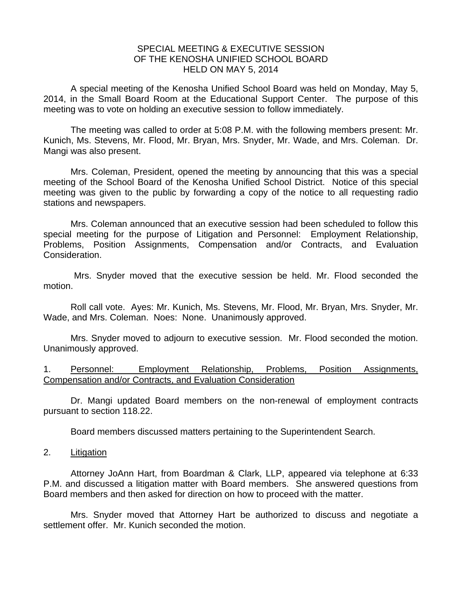## SPECIAL MEETING & EXECUTIVE SESSION OF THE KENOSHA UNIFIED SCHOOL BOARD HELD ON MAY 5, 2014

A special meeting of the Kenosha Unified School Board was held on Monday, May 5, 2014, in the Small Board Room at the Educational Support Center. The purpose of this meeting was to vote on holding an executive session to follow immediately.

 The meeting was called to order at 5:08 P.M. with the following members present: Mr. Kunich, Ms. Stevens, Mr. Flood, Mr. Bryan, Mrs. Snyder, Mr. Wade, and Mrs. Coleman. Dr. Mangi was also present.

 Mrs. Coleman, President, opened the meeting by announcing that this was a special meeting of the School Board of the Kenosha Unified School District. Notice of this special meeting was given to the public by forwarding a copy of the notice to all requesting radio stations and newspapers.

 Mrs. Coleman announced that an executive session had been scheduled to follow this special meeting for the purpose of Litigation and Personnel: Employment Relationship, Problems, Position Assignments, Compensation and/or Contracts, and Evaluation Consideration.

 Mrs. Snyder moved that the executive session be held. Mr. Flood seconded the motion.

 Roll call vote. Ayes: Mr. Kunich, Ms. Stevens, Mr. Flood, Mr. Bryan, Mrs. Snyder, Mr. Wade, and Mrs. Coleman. Noes: None. Unanimously approved.

 Mrs. Snyder moved to adjourn to executive session. Mr. Flood seconded the motion. Unanimously approved.

1. Personnel: Employment Relationship, Problems, Position Assignments, Compensation and/or Contracts, and Evaluation Consideration

 Dr. Mangi updated Board members on the non-renewal of employment contracts pursuant to section 118.22.

Board members discussed matters pertaining to the Superintendent Search.

2. Litigation

Attorney JoAnn Hart, from Boardman & Clark, LLP, appeared via telephone at 6:33 P.M. and discussed a litigation matter with Board members. She answered questions from Board members and then asked for direction on how to proceed with the matter.

 Mrs. Snyder moved that Attorney Hart be authorized to discuss and negotiate a settlement offer. Mr. Kunich seconded the motion.